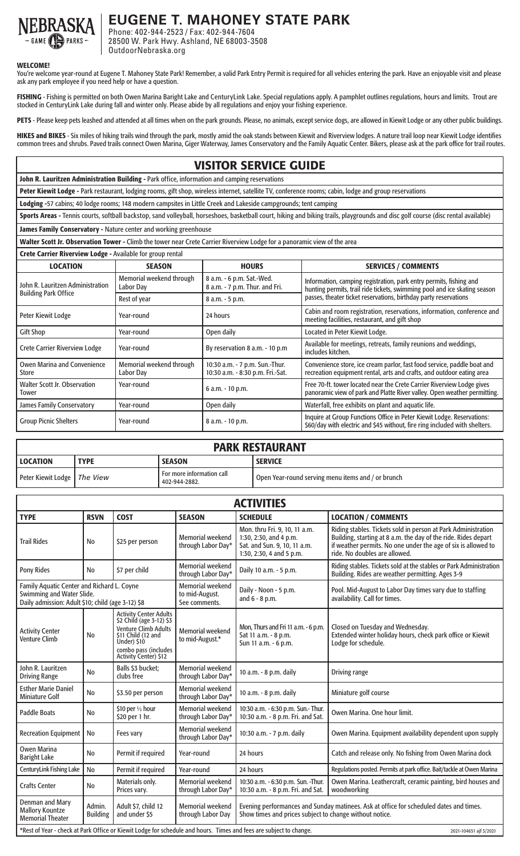

**EUGENE T. MAHONEY STATE PARK**

Phone: 402-944-2523 / Fax: 402-944-7604 28500 W. Park Hwy. Ashland, NE 68003-3508 OutdoorNebraska.org

## WELCOME!

You're welcome year-round at Eugene T. Mahoney State Park! Remember, a valid Park Entry Permit is required for all vehicles entering the park. Have an enjoyable visit and please ask any park employee if you need help or have a question.

FISHING - Fishing is permitted on both Owen Marina Baright Lake and CenturyLink Lake. Special regulations apply. A pamphlet outlines regulations, hours and limits. Trout are stocked in CenturyLink Lake during fall and winter only. Please abide by all regulations and enjoy your fishing experience.

PETS - Please keep pets leashed and attended at all times when on the park grounds. Please, no animals, except service dogs, are allowed in Kiewit Lodge or any other public buildings.

HIKES and BIKES - Six miles of hiking trails wind through the park, mostly amid the oak stands between Kiewit and Riverview lodges. A nature trail loop near Kiewit Lodge identifies common trees and shrubs. Paved trails connect Owen Marina, Giger Waterway, James Conservatory and the Family Aquatic Center. Bikers, please ask at the park office for trail routes.

## VISITOR SERVICE GUIDE

John R. Lauritzen Administration Building - Park office, information and camping reservations

Peter Kiewit Lodge - Park restaurant, lodging rooms, gift shop, wireless internet, satellite TV, conference rooms; cabin, lodge and group reservations

Lodging -57 cabins; 40 lodge rooms; 148 modern campsites in Little Creek and Lakeside campgrounds; tent camping

Sports Areas - Tennis courts, softball backstop, sand volleyball, horseshoes, basketball court, hiking and biking trails, playgrounds and disc golf course (disc rental available)

James Family Conservatory - Nature center and working greenhouse

Walter Scott Jr. Observation Tower - Climb the tower near Crete Carrier Riverview Lodge for a panoramic view of the area

| Crete Carrier Riverview Lodge - Available for group rental                            |                                       |                                                                                      |                                                                                                                                                                                                                     |  |  |  |
|---------------------------------------------------------------------------------------|---------------------------------------|--------------------------------------------------------------------------------------|---------------------------------------------------------------------------------------------------------------------------------------------------------------------------------------------------------------------|--|--|--|
| <b>LOCATION</b>                                                                       | <b>SEASON</b>                         | <b>HOURS</b>                                                                         | <b>SERVICES / COMMENTS</b>                                                                                                                                                                                          |  |  |  |
| John R. Lauritzen Administration<br><b>Building Park Office</b>                       | Memorial weekend through<br>Labor Day | 8 a.m. - 6 p.m. Sat.-Wed.<br>8 a.m. - 7 p.m. Thur. and Fri.                          | Information, camping registration, park entry permits, fishing and<br>hunting permits, trail ride tickets, swimming pool and ice skating season<br>passes, theater ticket reservations, birthday party reservations |  |  |  |
|                                                                                       | Rest of year                          | 8 a.m. - 5 p.m.                                                                      |                                                                                                                                                                                                                     |  |  |  |
| Peter Kiewit Lodge                                                                    | Year-round                            | 24 hours                                                                             | Cabin and room registration, reservations, information, conference and<br>meeting facilities, restaurant, and gift shop                                                                                             |  |  |  |
| <b>Gift Shop</b>                                                                      | Year-round                            | Open daily                                                                           | Located in Peter Kiewit Lodge.                                                                                                                                                                                      |  |  |  |
| <b>Crete Carrier Riverview Lodge</b><br>By reservation 8 a.m. - 10 p.m.<br>Year-round |                                       | Available for meetings, retreats, family reunions and weddings,<br>includes kitchen. |                                                                                                                                                                                                                     |  |  |  |
| <b>Owen Marina and Convenience</b><br><b>Store</b>                                    | Memorial weekend through<br>Labor Dav | 10:30 a.m. - 7 p.m. Sun.-Thur.<br>10:30 a.m. - 8:30 p.m. Fri.-Sat.                   | Convenience store, ice cream parlor, fast food service, paddle boat and<br>recreation equipment rental, arts and crafts, and outdoor eating area                                                                    |  |  |  |
| Walter Scott Jr. Observation<br><b>Tower</b>                                          | Year-round                            | 6 a.m. - 10 p.m.                                                                     | Free 70-ft. tower located near the Crete Carrier Riverview Lodge gives<br>panoramic view of park and Platte River valley. Open weather permitting.                                                                  |  |  |  |
| James Family Conservatory                                                             | Year-round                            | Open daily                                                                           | Waterfall, free exhibits on plant and aquatic life.                                                                                                                                                                 |  |  |  |
| <b>Group Picnic Shelters</b><br>Year-round                                            |                                       | 8 a.m. - 10 p.m.                                                                     | Inquire at Group Functions Office in Peter Kiewit Lodge. Reservations:<br>\$60/day with electric and \$45 without, fire ring included with shelters.                                                                |  |  |  |

| <b>PARK RESTAURANT</b>        |             |                                            |                                                    |  |  |  |
|-------------------------------|-------------|--------------------------------------------|----------------------------------------------------|--|--|--|
| LOCATION                      | <b>TYPE</b> | <b>SEASON</b>                              | <b>SERVICE</b>                                     |  |  |  |
| Peter Kiewit Lodge   The View |             | For more information call<br>402-944-2882. | Open Year-round serving menu items and / or brunch |  |  |  |

| <b>ACTIVITIES</b>                                                                                                                            |                           |                                                                                                                                                                                |                                               |                                                                                                                                                   |                                                                                                                                                                                                                                   |  |  |  |
|----------------------------------------------------------------------------------------------------------------------------------------------|---------------------------|--------------------------------------------------------------------------------------------------------------------------------------------------------------------------------|-----------------------------------------------|---------------------------------------------------------------------------------------------------------------------------------------------------|-----------------------------------------------------------------------------------------------------------------------------------------------------------------------------------------------------------------------------------|--|--|--|
| <b>TYPE</b>                                                                                                                                  | <b>RSVN</b>               | <b>COST</b>                                                                                                                                                                    | <b>SEASON</b>                                 | <b>SCHEDULE</b>                                                                                                                                   | <b>LOCATION / COMMENTS</b>                                                                                                                                                                                                        |  |  |  |
| <b>Trail Rides</b>                                                                                                                           | <b>No</b>                 | \$25 per person                                                                                                                                                                | <b>Memorial weekend</b><br>through Labor Day* | Mon. thru Fri. 9, 10, 11 a.m.<br>1:30, 2:30, and 4 p.m.<br>Sat. and Sun. 9, 10, 11 a.m.<br>1:30, 2:30, 4 and 5 p.m.                               | Riding stables. Tickets sold in person at Park Administration<br>Building, starting at 8 a.m. the day of the ride. Rides depart<br>if weather permits. No one under the age of six is allowed to<br>ride. No doubles are allowed. |  |  |  |
| <b>Pony Rides</b>                                                                                                                            | N <sub>0</sub>            | \$7 per child                                                                                                                                                                  | <b>Memorial weekend</b><br>through Labor Day* | Daily 10 a.m. - 5 p.m.                                                                                                                            | Riding stables. Tickets sold at the stables or Park Administration<br>Building. Rides are weather permitting. Ages 3-9                                                                                                            |  |  |  |
| Family Aquatic Center and Richard L. Coyne<br>Swimming and Water Slide.<br>Daily admission: Adult \$10; child (age 3-12) \$8                 |                           | <b>Memorial weekend</b><br>to mid-August.<br>See comments.                                                                                                                     | Daily - Noon - 5 p.m.<br>and 6 - 8 p.m.       | Pool. Mid-August to Labor Day times vary due to staffing<br>availability. Call for times.                                                         |                                                                                                                                                                                                                                   |  |  |  |
| <b>Activity Center</b><br><b>Venture Climb</b>                                                                                               | No                        | <b>Activity Center Adults</b><br>\$2 Child (age 3-12) \$3<br><b>Venture Climb Adults</b><br>\$11 Child (12 and<br>Under) \$10<br>combo pass (includes<br>Activity Center) \$12 | <b>Memorial weekend</b><br>to mid-August.*    | Mon, Thurs and Fri 11 a.m. - 6 p.m.<br>Sat 11 a.m. - 8 p.m.<br>Sun 11 a.m. - 6 p.m.                                                               | Closed on Tuesday and Wednesday.<br>Extended winter holiday hours, check park office or Kiewit<br>Lodge for schedule.                                                                                                             |  |  |  |
| John R. Lauritzen<br><b>Driving Range</b>                                                                                                    | No                        | Balls \$3 bucket;<br>clubs free                                                                                                                                                | <b>Memorial weekend</b><br>through Labor Day* | 10 a.m. - 8 p.m. daily                                                                                                                            | Driving range                                                                                                                                                                                                                     |  |  |  |
| <b>Esther Marie Daniel</b><br><b>Miniature Golf</b>                                                                                          | No                        | \$3.50 per person                                                                                                                                                              | <b>Memorial weekend</b><br>through Labor Day* | 10 a.m. - 8 p.m. daily                                                                                                                            | Miniature golf course                                                                                                                                                                                                             |  |  |  |
| <b>Paddle Boats</b>                                                                                                                          | <b>No</b>                 | \$10 per $\frac{1}{2}$ hour<br>\$20 per 1 hr.                                                                                                                                  | <b>Memorial weekend</b><br>through Labor Day* | 10:30 a.m. - 6:30 p.m. Sun.- Thur.<br>10:30 a.m. - 8 p.m. Fri. and Sat.                                                                           | Owen Marina. One hour limit.                                                                                                                                                                                                      |  |  |  |
| <b>Recreation Equipment</b>                                                                                                                  | No                        | Fees vary                                                                                                                                                                      | <b>Memorial weekend</b><br>through Labor Day* | 10:30 a.m. - 7 p.m. daily                                                                                                                         | Owen Marina. Equipment availability dependent upon supply                                                                                                                                                                         |  |  |  |
| <b>Owen Marina</b><br><b>Baright Lake</b>                                                                                                    | No                        | Permit if required                                                                                                                                                             | Year-round                                    | 24 hours                                                                                                                                          | Catch and release only. No fishing from Owen Marina dock                                                                                                                                                                          |  |  |  |
| CenturyLink Fishing Lake                                                                                                                     | <b>No</b>                 | Permit if required                                                                                                                                                             | Year-round                                    | 24 hours                                                                                                                                          | Regulations posted. Permits at park office. Bait/tackle at Owen Marina                                                                                                                                                            |  |  |  |
| <b>Crafts Center</b>                                                                                                                         | <b>No</b>                 | Materials only.<br>Prices vary.                                                                                                                                                | <b>Memorial weekend</b><br>through Labor Day* | 10:30 a.m. - 6:30 p.m. Sun. -Thur.<br>10:30 a.m. - 8 p.m. Fri. and Sat.                                                                           | Owen Marina. Leathercraft, ceramic painting, bird houses and<br>woodworking                                                                                                                                                       |  |  |  |
| Denman and Mary<br><b>Mallory Kountze</b><br><b>Memorial Theater</b>                                                                         | Admin.<br><b>Building</b> | Adult \$7, child 12<br>and under \$5                                                                                                                                           | <b>Memorial weekend</b><br>through Labor Day  | Evening performances and Sunday matinees. Ask at office for scheduled dates and times.<br>Show times and prices subject to change without notice. |                                                                                                                                                                                                                                   |  |  |  |
| *Rest of Year - check at Park Office or Kiewit Lodge for schedule and hours. Times and fees are subject to change.<br>2021-104651 ajf 3/2021 |                           |                                                                                                                                                                                |                                               |                                                                                                                                                   |                                                                                                                                                                                                                                   |  |  |  |